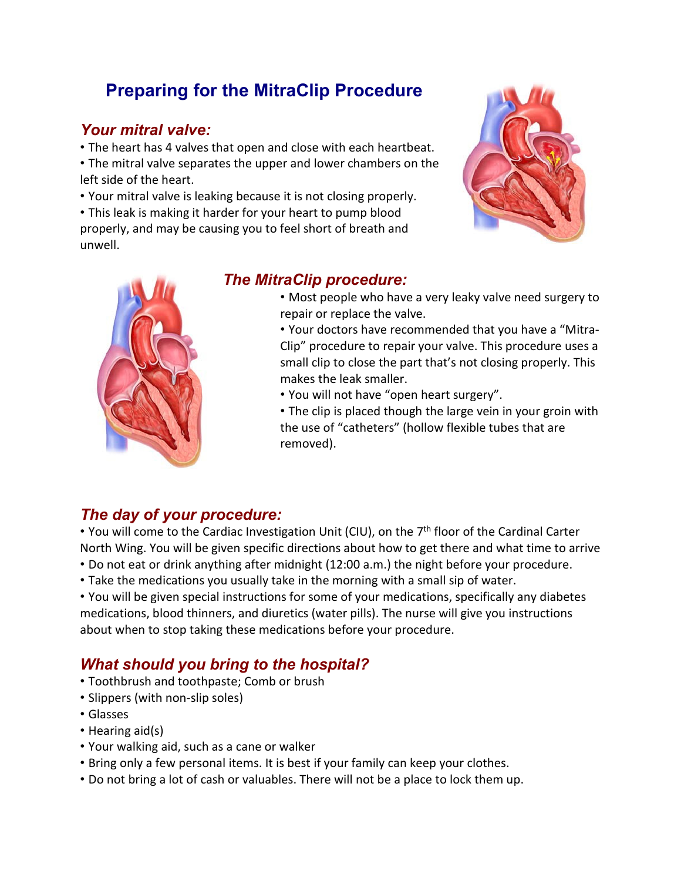# **Preparing for the MitraClip Procedure**

# *Your mitral valve:*

- The heart has 4 valves that open and close with each heartbeat. • The mitral valve separates the upper and lower chambers on the
- left side of the heart.
- Your mitral valve is leaking because it is not closing properly.
- This leak is making it harder for your heart to pump blood properly, and may be causing you to feel short of breath and unwell.





# *The MitraClip procedure:*

• Most people who have a very leaky valve need surgery to repair or replace the valve.

• Your doctors have recommended that you have a "Mitra‐ Clip" procedure to repair your valve. This procedure uses a small clip to close the part that's not closing properly. This makes the leak smaller.

• You will not have "open heart surgery".

• The clip is placed though the large vein in your groin with the use of "catheters" (hollow flexible tubes that are removed).

# *The day of your procedure:*

• You will come to the Cardiac Investigation Unit (CIU), on the 7<sup>th</sup> floor of the Cardinal Carter North Wing. You will be given specific directions about how to get there and what time to arrive • Do not eat or drink anything after midnight (12:00 a.m.) the night before your procedure.

• Take the medications you usually take in the morning with a small sip of water.

• You will be given special instructions for some of your medications, specifically any diabetes medications, blood thinners, and diuretics (water pills). The nurse will give you instructions about when to stop taking these medications before your procedure.

# *What should you bring to the hospital?*

- Toothbrush and toothpaste; Comb or brush
- Slippers (with non-slip soles)
- Glasses
- Hearing aid(s)
- Your walking aid, such as a cane or walker
- Bring only a few personal items. It is best if your family can keep your clothes.
- Do not bring a lot of cash or valuables. There will not be a place to lock them up.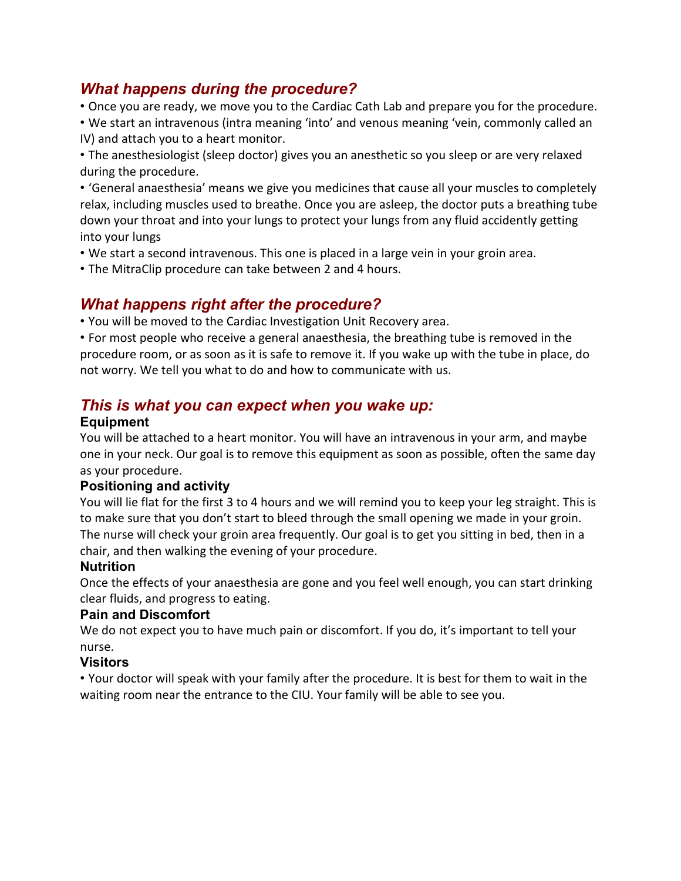# *What happens during the procedure?*

• Once you are ready, we move you to the Cardiac Cath Lab and prepare you for the procedure.

• We start an intravenous (intra meaning 'into' and venous meaning 'vein, commonly called an IV) and attach you to a heart monitor.

• The anesthesiologist (sleep doctor) gives you an anesthetic so you sleep or are very relaxed during the procedure.

• 'General anaesthesia' means we give you medicines that cause all your muscles to completely relax, including muscles used to breathe. Once you are asleep, the doctor puts a breathing tube down your throat and into your lungs to protect your lungs from any fluid accidently getting into your lungs

- We start a second intravenous. This one is placed in a large vein in your groin area.
- The MitraClip procedure can take between 2 and 4 hours.

# *What happens right after the procedure?*

• You will be moved to the Cardiac Investigation Unit Recovery area.

• For most people who receive a general anaesthesia, the breathing tube is removed in the procedure room, or as soon as it is safe to remove it. If you wake up with the tube in place, do not worry. We tell you what to do and how to communicate with us.

# *This is what you can expect when you wake up:*

#### **Equipment**

You will be attached to a heart monitor. You will have an intravenous in your arm, and maybe one in your neck. Our goal is to remove this equipment as soon as possible, often the same day as your procedure.

### **Positioning and activity**

You will lie flat for the first 3 to 4 hours and we will remind you to keep your leg straight. This is to make sure that you don't start to bleed through the small opening we made in your groin. The nurse will check your groin area frequently. Our goal is to get you sitting in bed, then in a chair, and then walking the evening of your procedure.

### **Nutrition**

Once the effects of your anaesthesia are gone and you feel well enough, you can start drinking clear fluids, and progress to eating.

### **Pain and Discomfort**

We do not expect you to have much pain or discomfort. If you do, it's important to tell your nurse.

#### **Visitors**

• Your doctor will speak with your family after the procedure. It is best for them to wait in the waiting room near the entrance to the CIU. Your family will be able to see you.